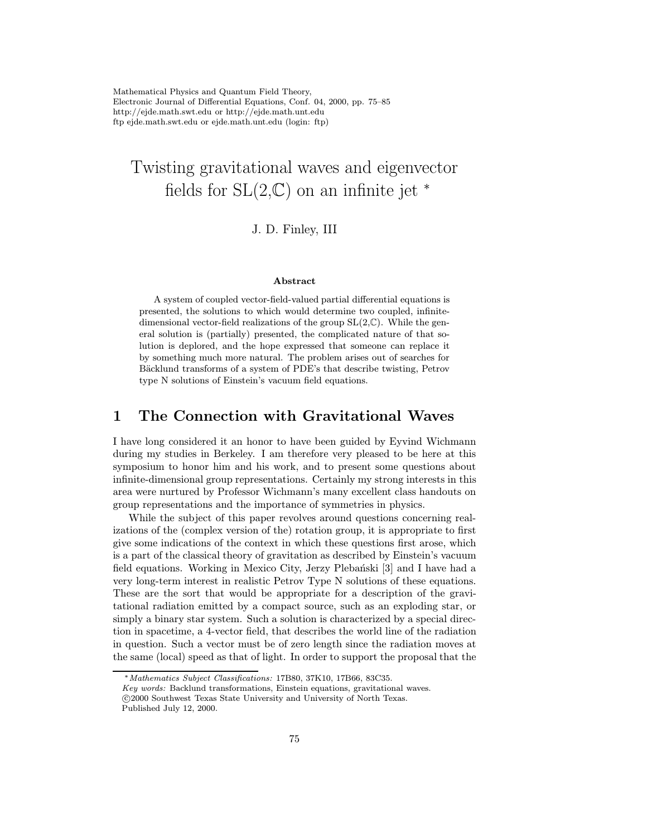Mathematical Physics and Quantum Field Theory, Electronic Journal of Differential Equations, Conf. 04, 2000, pp. 75–85 http://ejde.math.swt.edu or http://ejde.math.unt.edu ftp ejde.math.swt.edu or ejde.math.unt.edu (login: ftp)

# Twisting gravitational waves and eigenvector fields for  $SL(2,\mathbb{C})$  on an infinite jet  $*$

#### J. D. Finley, III

#### Abstract

A system of coupled vector-field-valued partial differential equations is presented, the solutions to which would determine two coupled, infinitedimensional vector-field realizations of the group  $SL(2,\mathbb{C})$ . While the general solution is (partially) presented, the complicated nature of that solution is deplored, and the hope expressed that someone can replace it by something much more natural. The problem arises out of searches for Bäcklund transforms of a system of PDE's that describe twisting, Petrov type N solutions of Einstein's vacuum field equations.

#### 1 The Connection with Gravitational Waves

I have long considered it an honor to have been guided by Eyvind Wichmann during my studies in Berkeley. I am therefore very pleased to be here at this symposium to honor him and his work, and to present some questions about infinite-dimensional group representations. Certainly my strong interests in this area were nurtured by Professor Wichmann's many excellent class handouts on group representations and the importance of symmetries in physics.

While the subject of this paper revolves around questions concerning realizations of the (complex version of the) rotation group, it is appropriate to first give some indications of the context in which these questions first arose, which is a part of the classical theory of gravitation as described by Einstein's vacuum field equations. Working in Mexico City, Jerzy Plebański [3] and I have had a very long-term interest in realistic Petrov Type N solutions of these equations. These are the sort that would be appropriate for a description of the gravitational radiation emitted by a compact source, such as an exploding star, or simply a binary star system. Such a solution is characterized by a special direction in spacetime, a 4-vector field, that describes the world line of the radiation in question. Such a vector must be of zero length since the radiation moves at the same (local) speed as that of light. In order to support the proposal that the

<sup>∗</sup>Mathematics Subject Classifications: 17B80, 37K10, 17B66, 83C35.

Key words: Backlund transformations, Einstein equations, gravitational waves.

c 2000 Southwest Texas State University and University of North Texas.

Published July 12, 2000.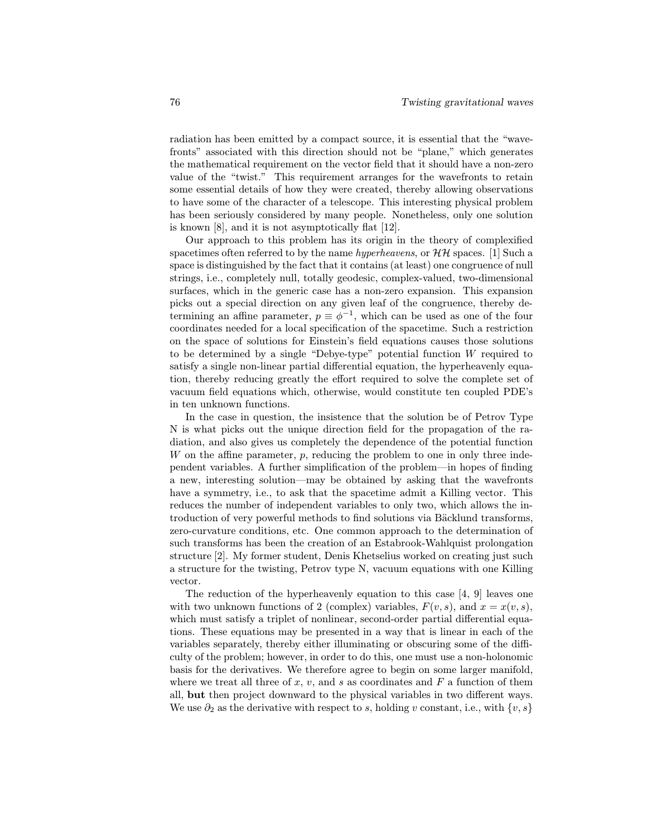radiation has been emitted by a compact source, it is essential that the "wavefronts" associated with this direction should not be "plane," which generates the mathematical requirement on the vector field that it should have a non-zero value of the "twist." This requirement arranges for the wavefronts to retain some essential details of how they were created, thereby allowing observations to have some of the character of a telescope. This interesting physical problem has been seriously considered by many people. Nonetheless, only one solution is known [8], and it is not asymptotically flat [12].

Our approach to this problem has its origin in the theory of complexified spacetimes often referred to by the name *hyperheavens*, or  $\mathcal{HH}$  spaces. [1] Such a space is distinguished by the fact that it contains (at least) one congruence of null strings, i.e., completely null, totally geodesic, complex-valued, two-dimensional surfaces, which in the generic case has a non-zero expansion. This expansion picks out a special direction on any given leaf of the congruence, thereby determining an affine parameter,  $p \equiv \phi^{-1}$ , which can be used as one of the four coordinates needed for a local specification of the spacetime. Such a restriction on the space of solutions for Einstein's field equations causes those solutions to be determined by a single "Debye-type" potential function W required to satisfy a single non-linear partial differential equation, the hyperheavenly equation, thereby reducing greatly the effort required to solve the complete set of vacuum field equations which, otherwise, would constitute ten coupled PDE's in ten unknown functions.

In the case in question, the insistence that the solution be of Petrov Type N is what picks out the unique direction field for the propagation of the radiation, and also gives us completely the dependence of the potential function W on the affine parameter,  $p$ , reducing the problem to one in only three independent variables. A further simplification of the problem—in hopes of finding a new, interesting solution—may be obtained by asking that the wavefronts have a symmetry, i.e., to ask that the spacetime admit a Killing vector. This reduces the number of independent variables to only two, which allows the introduction of very powerful methods to find solutions via Bäcklund transforms, zero-curvature conditions, etc. One common approach to the determination of such transforms has been the creation of an Estabrook-Wahlquist prolongation structure [2]. My former student, Denis Khetselius worked on creating just such a structure for the twisting, Petrov type N, vacuum equations with one Killing vector.

The reduction of the hyperheavenly equation to this case [4, 9] leaves one with two unknown functions of 2 (complex) variables,  $F(v, s)$ , and  $x = x(v, s)$ , which must satisfy a triplet of nonlinear, second-order partial differential equations. These equations may be presented in a way that is linear in each of the variables separately, thereby either illuminating or obscuring some of the difficulty of the problem; however, in order to do this, one must use a non-holonomic basis for the derivatives. We therefore agree to begin on some larger manifold, where we treat all three of x, v, and s as coordinates and  $F$  a function of them all, but then project downward to the physical variables in two different ways. We use  $\partial_2$  as the derivative with respect to s, holding v constant, i.e., with  $\{v, s\}$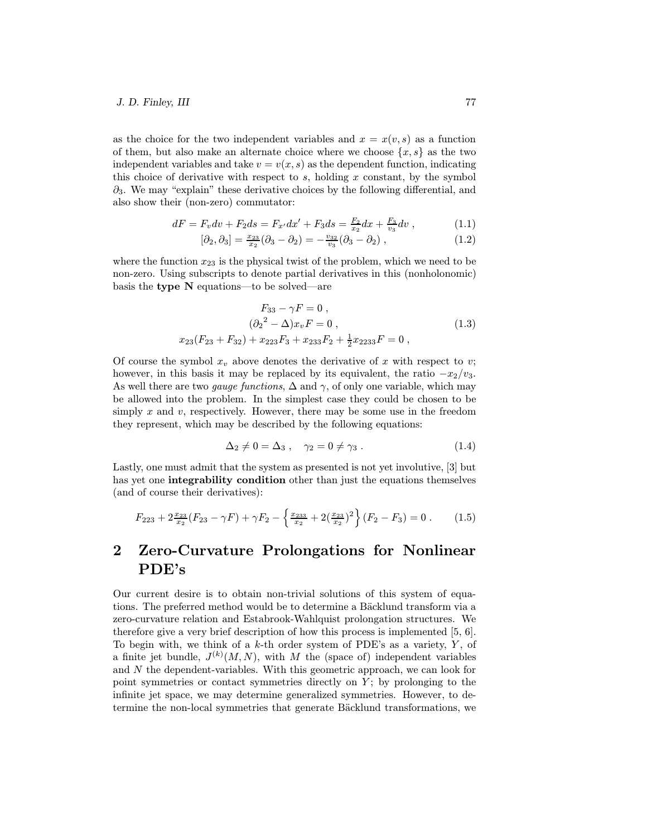as the choice for the two independent variables and  $x = x(v, s)$  as a function of them, but also make an alternate choice where we choose  $\{x, s\}$  as the two independent variables and take  $v = v(x, s)$  as the dependent function, indicating this choice of derivative with respect to  $s$ , holding  $x$  constant, by the symbol  $\partial_3$ . We may "explain" these derivative choices by the following differential, and also show their (non-zero) commutator:

$$
dF = F_v dv + F_2 ds = F_{x'} dx' + F_3 ds = \frac{F_2}{x_2} dx + \frac{F_3}{v_3} dv , \qquad (1.1)
$$

$$
[\partial_2, \partial_3] = \frac{x_{23}}{x_2} (\partial_3 - \partial_2) = -\frac{v_{32}}{v_3} (\partial_3 - \partial_2) , \qquad (1.2)
$$

where the function  $x_{23}$  is the physical twist of the problem, which we need to be non-zero. Using subscripts to denote partial derivatives in this (nonholonomic) basis the type N equations—to be solved—are

$$
F_{33} - \gamma F = 0 ,
$$
  
\n
$$
(\partial_2^2 - \Delta) x_v F = 0 ,
$$
  
\n
$$
x_{23}(F_{23} + F_{32}) + x_{223} F_3 + x_{233} F_2 + \frac{1}{2} x_{2233} F = 0 ,
$$
\n(1.3)

Of course the symbol  $x_v$  above denotes the derivative of x with respect to v; however, in this basis it may be replaced by its equivalent, the ratio  $-x_2/v_3$ . As well there are two *gauge functions*,  $\Delta$  and  $\gamma$ , of only one variable, which may be allowed into the problem. In the simplest case they could be chosen to be simply  $x$  and  $v$ , respectively. However, there may be some use in the freedom they represent, which may be described by the following equations:

$$
\Delta_2 \neq 0 = \Delta_3 \,, \quad \gamma_2 = 0 \neq \gamma_3 \,. \tag{1.4}
$$

Lastly, one must admit that the system as presented is not yet involutive, [3] but has yet one **integrability condition** other than just the equations themselves (and of course their derivatives):

$$
F_{223} + 2\frac{x_{23}}{x_2}(F_{23} - \gamma F) + \gamma F_2 - \left\{ \frac{x_{233}}{x_2} + 2\left(\frac{x_{23}}{x_2}\right)^2 \right\} (F_2 - F_3) = 0. \tag{1.5}
$$

## 2 Zero-Curvature Prolongations for Nonlinear PDE's

Our current desire is to obtain non-trivial solutions of this system of equations. The preferred method would be to determine a Bäcklund transform via a zero-curvature relation and Estabrook-Wahlquist prolongation structures. We therefore give a very brief description of how this process is implemented [5, 6]. To begin with, we think of a  $k$ -th order system of PDE's as a variety,  $Y$ , of a finite jet bundle,  $J^{(k)}(M,N)$ , with M the (space of) independent variables and N the dependent-variables. With this geometric approach, we can look for point symmetries or contact symmetries directly on  $Y$ ; by prolonging to the infinite jet space, we may determine generalized symmetries. However, to determine the non-local symmetries that generate Bäcklund transformations, we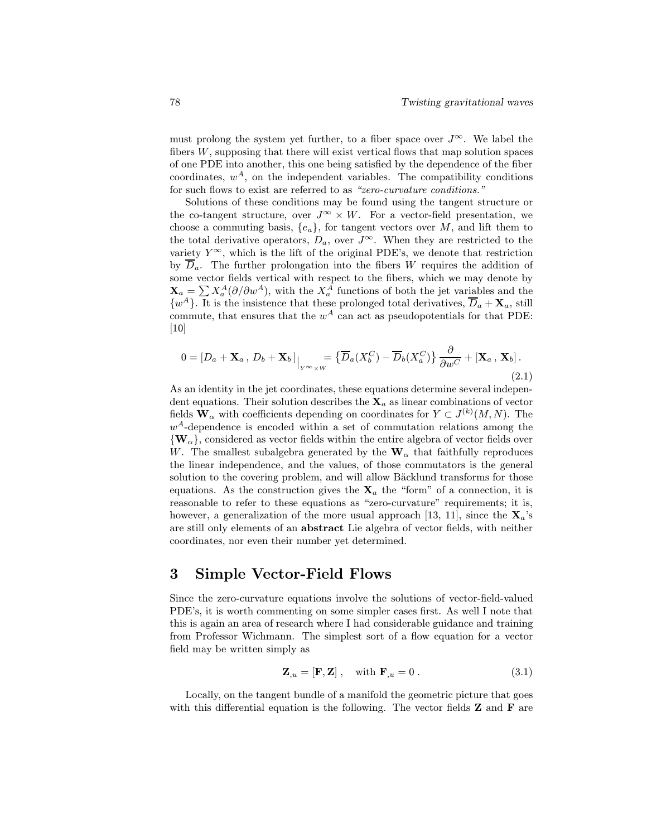must prolong the system yet further, to a fiber space over  $J^{\infty}$ . We label the fibers  $W$ , supposing that there will exist vertical flows that map solution spaces of one PDE into another, this one being satisfied by the dependence of the fiber coordinates,  $w^A$ , on the independent variables. The compatibility conditions for such flows to exist are referred to as "zero-curvature conditions."

Solutions of these conditions may be found using the tangent structure or the co-tangent structure, over  $J^{\infty} \times W$ . For a vector-field presentation, we choose a commuting basis,  ${e_a}$ , for tangent vectors over M, and lift them to the total derivative operators,  $D_a$ , over  $J^{\infty}$ . When they are restricted to the variety  $Y^{\infty}$ , which is the lift of the original PDE's, we denote that restriction by  $\overline{D}_a$ . The further prolongation into the fibers W requires the addition of some vector fields vertical with respect to the fibers, which we may denote by  $\mathbf{X}_a = \sum X_a^A(\partial/\partial w^A)$ , with the  $X_a^A$  functions of both the jet variables and the  $\{w^A\}$ . It is the insistence that these prolonged total derivatives,  $\overline{D}_a + \mathbf{X}_a$ , still commute, that ensures that the  $w^A$  can act as pseudopotentials for that PDE: [10]

$$
0 = [D_a + \mathbf{X}_a, D_b + \mathbf{X}_b] \Big|_{Y \sim \times W} = \{ \overline{D}_a(X_b^C) - \overline{D}_b(X_a^C) \} \frac{\partial}{\partial w^C} + [\mathbf{X}_a, \mathbf{X}_b].
$$
\n(2.1)

As an identity in the jet coordinates, these equations determine several independent equations. Their solution describes the  $X_a$  as linear combinations of vector fields  $\mathbf{W}_{\alpha}$  with coefficients depending on coordinates for  $Y \subset J^{(k)}(M,N)$ . The  $w<sup>A</sup>$ -dependence is encoded within a set of commutation relations among the  $\{W_{\alpha}\}\$ , considered as vector fields within the entire algebra of vector fields over W. The smallest subalgebra generated by the  $\mathbf{W}_{\alpha}$  that faithfully reproduces the linear independence, and the values, of those commutators is the general solution to the covering problem, and will allow Bäcklund transforms for those equations. As the construction gives the  $X_a$  the "form" of a connection, it is reasonable to refer to these equations as "zero-curvature" requirements; it is, however, a generalization of the more usual approach [13, 11], since the  $X_a$ 's are still only elements of an abstract Lie algebra of vector fields, with neither coordinates, nor even their number yet determined.

### 3 Simple Vector-Field Flows

Since the zero-curvature equations involve the solutions of vector-field-valued PDE's, it is worth commenting on some simpler cases first. As well I note that this is again an area of research where I had considerable guidance and training from Professor Wichmann. The simplest sort of a flow equation for a vector field may be written simply as

$$
\mathbf{Z}_{,u} = [\mathbf{F}, \mathbf{Z}] \;, \quad \text{with } \mathbf{F}_{,u} = 0 \;. \tag{3.1}
$$

Locally, on the tangent bundle of a manifold the geometric picture that goes with this differential equation is the following. The vector fields  $Z$  and  $F$  are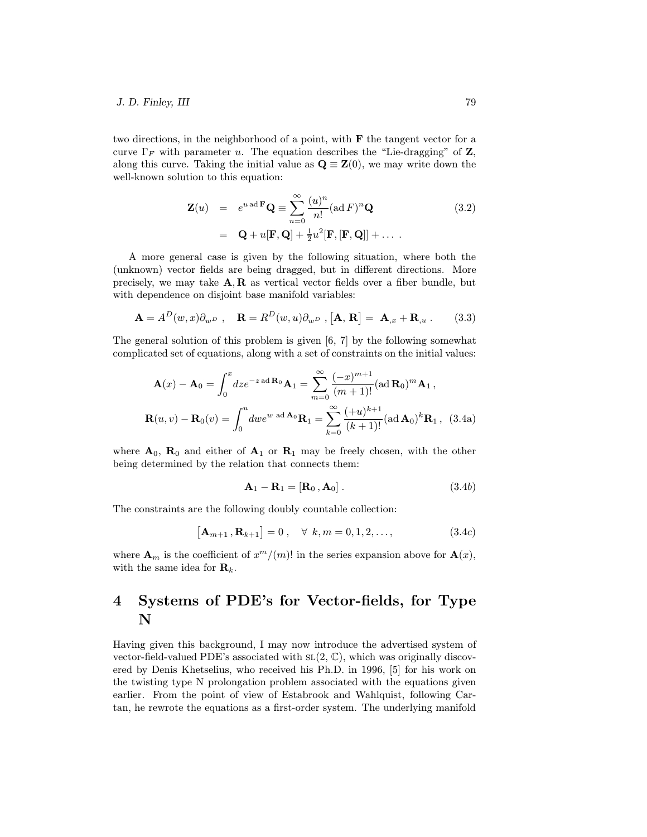two directions, in the neighborhood of a point, with F the tangent vector for a curve  $\Gamma_F$  with parameter u. The equation describes the "Lie-dragging" of Z, along this curve. Taking the initial value as  $\mathbf{Q} \equiv \mathbf{Z}(0)$ , we may write down the well-known solution to this equation:

$$
\mathbf{Z}(u) = e^{u \operatorname{ad} \mathbf{F}} \mathbf{Q} \equiv \sum_{n=0}^{\infty} \frac{(u)^n}{n!} (\operatorname{ad} F)^n \mathbf{Q}
$$
(3.2)  

$$
= \mathbf{Q} + u[\mathbf{F}, \mathbf{Q}] + \frac{1}{2} u^2 [\mathbf{F}, [\mathbf{F}, \mathbf{Q}]] + \dots
$$

A more general case is given by the following situation, where both the (unknown) vector fields are being dragged, but in different directions. More precisely, we may take  $A, R$  as vertical vector fields over a fiber bundle, but with dependence on disjoint base manifold variables:

$$
\mathbf{A} = A^D(w, x) \partial_{w^D}, \quad \mathbf{R} = R^D(w, u) \partial_{w^D}, [\mathbf{A}, \mathbf{R}] = \mathbf{A}_{,x} + \mathbf{R}_{,u}. \tag{3.3}
$$

The general solution of this problem is given [6, 7] by the following somewhat complicated set of equations, along with a set of constraints on the initial values:

$$
\mathbf{A}(x) - \mathbf{A}_0 = \int_0^x dz e^{-z \operatorname{ad} \mathbf{R}_0} \mathbf{A}_1 = \sum_{m=0}^\infty \frac{(-x)^{m+1}}{(m+1)!} (\operatorname{ad} \mathbf{R}_0)^m \mathbf{A}_1,
$$
  

$$
\mathbf{R}(u, v) - \mathbf{R}_0(v) = \int_0^u dw e^{w \operatorname{ad} \mathbf{A}_0} \mathbf{R}_1 = \sum_{k=0}^\infty \frac{(+u)^{k+1}}{(k+1)!} (\operatorname{ad} \mathbf{A}_0)^k \mathbf{R}_1, (3.4a)
$$

where  $A_0$ ,  $R_0$  and either of  $A_1$  or  $R_1$  may be freely chosen, with the other being determined by the relation that connects them:

$$
\mathbf{A}_1 - \mathbf{R}_1 = [\mathbf{R}_0, \mathbf{A}_0]. \tag{3.4b}
$$

The constraints are the following doubly countable collection:

$$
[Am+1, Rk+1] = 0, \quad \forall k, m = 0, 1, 2, ..., \qquad (3.4c)
$$

where  $\mathbf{A}_m$  is the coefficient of  $x^m/(m)!$  in the series expansion above for  $\mathbf{A}(x)$ , with the same idea for  $\mathbf{R}_k$ .

## 4 Systems of PDE's for Vector-fields, for Type N

Having given this background, I may now introduce the advertised system of vector-field-valued PDE's associated with  $SL(2, \mathbb{C})$ , which was originally discovered by Denis Khetselius, who received his Ph.D. in 1996, [5] for his work on the twisting type N prolongation problem associated with the equations given earlier. From the point of view of Estabrook and Wahlquist, following Cartan, he rewrote the equations as a first-order system. The underlying manifold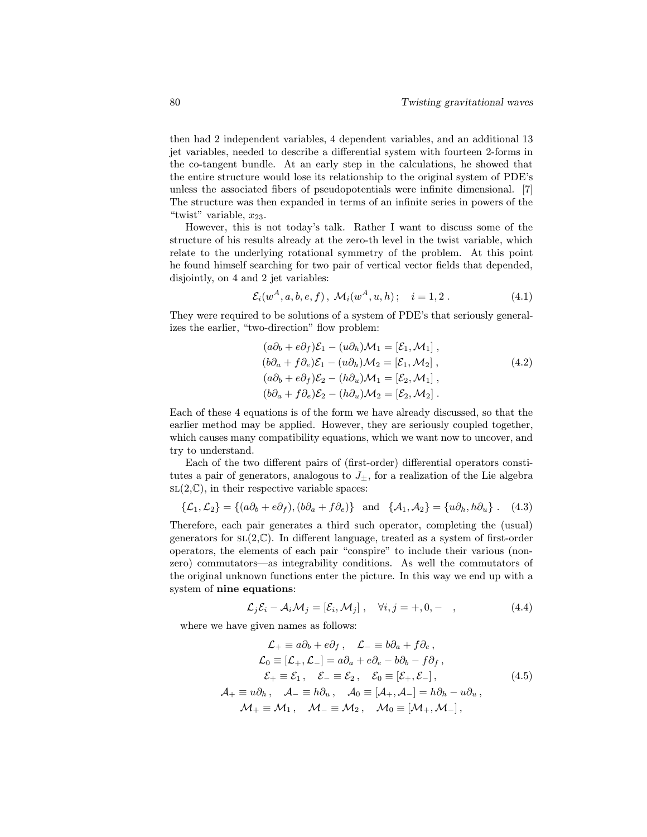then had 2 independent variables, 4 dependent variables, and an additional 13 jet variables, needed to describe a differential system with fourteen 2-forms in the co-tangent bundle. At an early step in the calculations, he showed that the entire structure would lose its relationship to the original system of PDE's unless the associated fibers of pseudopotentials were infinite dimensional. [7] The structure was then expanded in terms of an infinite series in powers of the "twist" variable,  $x_{23}$ .

However, this is not today's talk. Rather I want to discuss some of the structure of his results already at the zero-th level in the twist variable, which relate to the underlying rotational symmetry of the problem. At this point he found himself searching for two pair of vertical vector fields that depended, disjointly, on 4 and 2 jet variables:

$$
\mathcal{E}_i(w^A, a, b, e, f), \ \mathcal{M}_i(w^A, u, h); \quad i = 1, 2. \tag{4.1}
$$

They were required to be solutions of a system of PDE's that seriously generalizes the earlier, "two-direction" flow problem:

$$
(a\partial_b + e\partial_f)\mathcal{E}_1 - (u\partial_h)\mathcal{M}_1 = [\mathcal{E}_1, \mathcal{M}_1],(b\partial_a + f\partial_e)\mathcal{E}_1 - (u\partial_h)\mathcal{M}_2 = [\mathcal{E}_1, \mathcal{M}_2],(a\partial_b + e\partial_f)\mathcal{E}_2 - (h\partial_u)\mathcal{M}_1 = [\mathcal{E}_2, \mathcal{M}_1],(b\partial_a + f\partial_e)\mathcal{E}_2 - (h\partial_u)\mathcal{M}_2 = [\mathcal{E}_2, \mathcal{M}_2].
$$
\n(4.2)

Each of these 4 equations is of the form we have already discussed, so that the earlier method may be applied. However, they are seriously coupled together, which causes many compatibility equations, which we want now to uncover, and try to understand.

Each of the two different pairs of (first-order) differential operators constitutes a pair of generators, analogous to  $J_{\pm}$ , for a realization of the Lie algebra  $SL(2,\mathbb{C})$ , in their respective variable spaces:

$$
\{\mathcal{L}_1,\mathcal{L}_2\} = \{(a\partial_b + e\partial_f), (b\partial_a + f\partial_e)\}\quad \text{and}\quad \{\mathcal{A}_1,\mathcal{A}_2\} = \{u\partial_h, h\partial_u\} \ . \tag{4.3}
$$

Therefore, each pair generates a third such operator, completing the (usual) generators for  $SL(2,\mathbb{C})$ . In different language, treated as a system of first-order operators, the elements of each pair "conspire" to include their various (nonzero) commutators—as integrability conditions. As well the commutators of the original unknown functions enter the picture. In this way we end up with a system of nine equations:

$$
\mathcal{L}_j \mathcal{E}_i - \mathcal{A}_i \mathcal{M}_j = [\mathcal{E}_i, \mathcal{M}_j], \quad \forall i, j = +, 0, - \quad , \tag{4.4}
$$

where we have given names as follows:

$$
\mathcal{L}_{+} \equiv a\partial_{b} + e\partial_{f}, \quad \mathcal{L}_{-} \equiv b\partial_{a} + f\partial_{e},
$$
\n
$$
\mathcal{L}_{0} \equiv [\mathcal{L}_{+}, \mathcal{L}_{-}] = a\partial_{a} + e\partial_{e} - b\partial_{b} - f\partial_{f},
$$
\n
$$
\mathcal{E}_{+} \equiv \mathcal{E}_{1}, \quad \mathcal{E}_{-} \equiv \mathcal{E}_{2}, \quad \mathcal{E}_{0} \equiv [\mathcal{E}_{+}, \mathcal{E}_{-}],
$$
\n
$$
\mathcal{A}_{+} \equiv u\partial_{h}, \quad \mathcal{A}_{-} \equiv h\partial_{u}, \quad \mathcal{A}_{0} \equiv [\mathcal{A}_{+}, \mathcal{A}_{-}] = h\partial_{h} - u\partial_{u},
$$
\n
$$
\mathcal{M}_{+} \equiv \mathcal{M}_{1}, \quad \mathcal{M}_{-} \equiv \mathcal{M}_{2}, \quad \mathcal{M}_{0} \equiv [\mathcal{M}_{+}, \mathcal{M}_{-}],
$$
\n(4.5)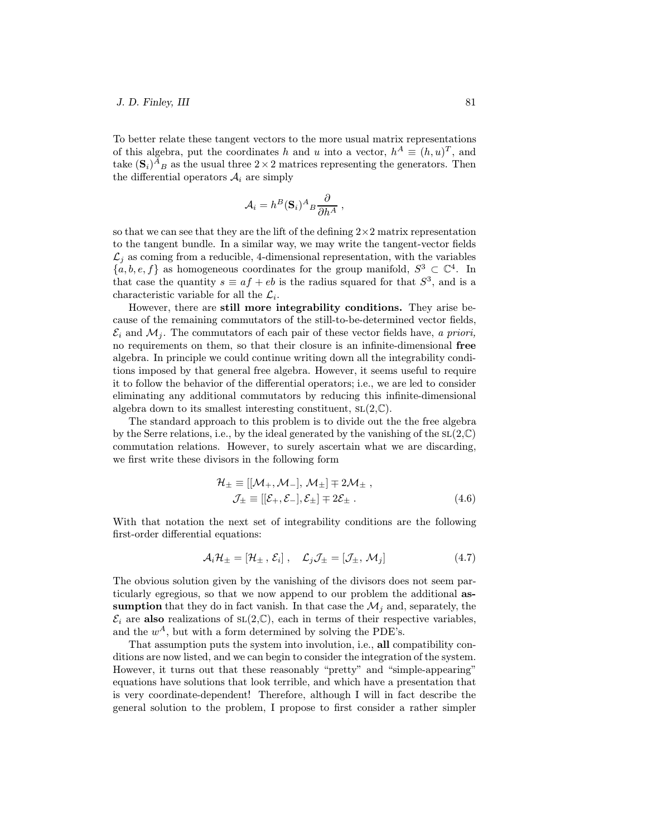# $J. D. Finley, III$  81

To better relate these tangent vectors to the more usual matrix representations of this algebra, put the coordinates h and u into a vector,  $h^A \equiv (h, u)^T$ , and take  $(\mathbf{S}_i)^A{}_B$  as the usual three  $2 \times 2$  matrices representing the generators. Then the differential operators  $A_i$  are simply

$$
A_i = h^B(\mathbf{S}_i)^A{}_B \frac{\partial}{\partial h^A} ,
$$

so that we can see that they are the lift of the defining  $2\times 2$  matrix representation to the tangent bundle. In a similar way, we may write the tangent-vector fields  $\mathcal{L}_i$  as coming from a reducible, 4-dimensional representation, with the variables  ${a, b, e, f}$  as homogeneous coordinates for the group manifold,  $S^3 \subset \mathbb{C}^4$ . In that case the quantity  $s \equiv af + eb$  is the radius squared for that  $S^3$ , and is a characteristic variable for all the  $\mathcal{L}_i$ .

However, there are still more integrability conditions. They arise because of the remaining commutators of the still-to-be-determined vector fields,  $\mathcal{E}_i$  and  $\mathcal{M}_i$ . The commutators of each pair of these vector fields have, a priori, no requirements on them, so that their closure is an infinite-dimensional free algebra. In principle we could continue writing down all the integrability conditions imposed by that general free algebra. However, it seems useful to require it to follow the behavior of the differential operators; i.e., we are led to consider eliminating any additional commutators by reducing this infinite-dimensional algebra down to its smallest interesting constituent,  $SL(2,\mathbb{C})$ .

The standard approach to this problem is to divide out the the free algebra by the Serre relations, i.e., by the ideal generated by the vanishing of the  $SL(2,\mathbb{C})$ commutation relations. However, to surely ascertain what we are discarding, we first write these divisors in the following form

$$
\mathcal{H}_{\pm} \equiv [[\mathcal{M}_{+}, \mathcal{M}_{-}], \mathcal{M}_{\pm}] \mp 2\mathcal{M}_{\pm} ,\n\mathcal{J}_{\pm} \equiv [[\mathcal{E}_{+}, \mathcal{E}_{-}], \mathcal{E}_{\pm}] \mp 2\mathcal{E}_{\pm} .
$$
\n(4.6)

With that notation the next set of integrability conditions are the following first-order differential equations:

$$
\mathcal{A}_{i}\mathcal{H}_{\pm}=[\mathcal{H}_{\pm}\,,\,\mathcal{E}_{i}]\,,\quad\mathcal{L}_{j}\mathcal{J}_{\pm}=[\mathcal{J}_{\pm},\,\mathcal{M}_{j}]
$$
\n(4.7)

The obvious solution given by the vanishing of the divisors does not seem particularly egregious, so that we now append to our problem the additional assumption that they do in fact vanish. In that case the  $\mathcal{M}_i$  and, separately, the  $\mathcal{E}_i$  are also realizations of  $SL(2,\mathbb{C})$ , each in terms of their respective variables, and the  $w^A$ , but with a form determined by solving the PDE's.

That assumption puts the system into involution, i.e., all compatibility conditions are now listed, and we can begin to consider the integration of the system. However, it turns out that these reasonably "pretty" and "simple-appearing" equations have solutions that look terrible, and which have a presentation that is very coordinate-dependent! Therefore, although I will in fact describe the general solution to the problem, I propose to first consider a rather simpler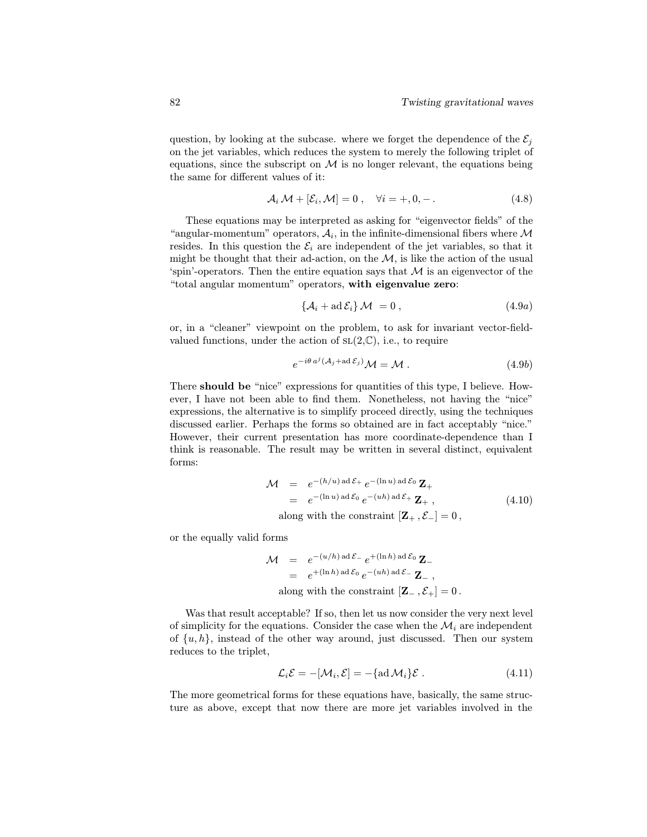question, by looking at the subcase. where we forget the dependence of the  $\mathcal{E}_i$ on the jet variables, which reduces the system to merely the following triplet of equations, since the subscript on  $\mathcal M$  is no longer relevant, the equations being the same for different values of it:

$$
\mathcal{A}_i \mathcal{M} + [\mathcal{E}_i, \mathcal{M}] = 0 \;, \quad \forall i = +, 0, - \,.
$$
 (4.8)

These equations may be interpreted as asking for "eigenvector fields" of the "angular-momentum" operators,  $A_i$ , in the infinite-dimensional fibers where M resides. In this question the  $\mathcal{E}_i$  are independent of the jet variables, so that it might be thought that their ad-action, on the  $\mathcal{M}$ , is like the action of the usual 'spin'-operators. Then the entire equation says that  $\mathcal M$  is an eigenvector of the "total angular momentum" operators, with eigenvalue zero:

$$
\{\mathcal{A}_i + \mathrm{ad}\,\mathcal{E}_i\}\,\mathcal{M} = 0\,,\tag{4.9a}
$$

or, in a "cleaner" viewpoint on the problem, to ask for invariant vector-fieldvalued functions, under the action of  $SL(2,\mathbb{C})$ , i.e., to require

$$
e^{-i\theta a^j (\mathcal{A}_j + ad\,\mathcal{E}_j)} \mathcal{M} = \mathcal{M} \ . \tag{4.9b}
$$

There should be "nice" expressions for quantities of this type, I believe. However, I have not been able to find them. Nonetheless, not having the "nice" expressions, the alternative is to simplify proceed directly, using the techniques discussed earlier. Perhaps the forms so obtained are in fact acceptably "nice." However, their current presentation has more coordinate-dependence than I think is reasonable. The result may be written in several distinct, equivalent forms:

$$
\mathcal{M} = e^{-(h/u) \operatorname{ad} \mathcal{E}_{+}} e^{-(\ln u) \operatorname{ad} \mathcal{E}_{0}} \mathbf{Z}_{+}
$$
  
=  $e^{-(\ln u) \operatorname{ad} \mathcal{E}_{0}} e^{-(uh) \operatorname{ad} \mathcal{E}_{+}} \mathbf{Z}_{+},$  (4.10)

along with the constraint  $[\mathbf{Z}_{+}, \mathcal{E}_{-}]=0$ ,

or the equally valid forms

$$
\mathcal{M} = e^{-(u/h) \operatorname{ad} \mathcal{E}_-} e^{+(\ln h) \operatorname{ad} \mathcal{E}_0} \mathbf{Z}_-
$$
  
=  $e^{+(\ln h) \operatorname{ad} \mathcal{E}_0} e^{-(uh) \operatorname{ad} \mathcal{E}_-} \mathbf{Z}_-,$   
along with the constraint  $[\mathbf{Z}_-, \mathcal{E}_+] = 0$ .

Was that result acceptable? If so, then let us now consider the very next level of simplicity for the equations. Consider the case when the  $\mathcal{M}_i$  are independent of  $\{u, h\}$ , instead of the other way around, just discussed. Then our system reduces to the triplet,

$$
\mathcal{L}_i \mathcal{E} = -[\mathcal{M}_i, \mathcal{E}] = -\{\text{ad}\,\mathcal{M}_i\}\mathcal{E} . \tag{4.11}
$$

The more geometrical forms for these equations have, basically, the same structure as above, except that now there are more jet variables involved in the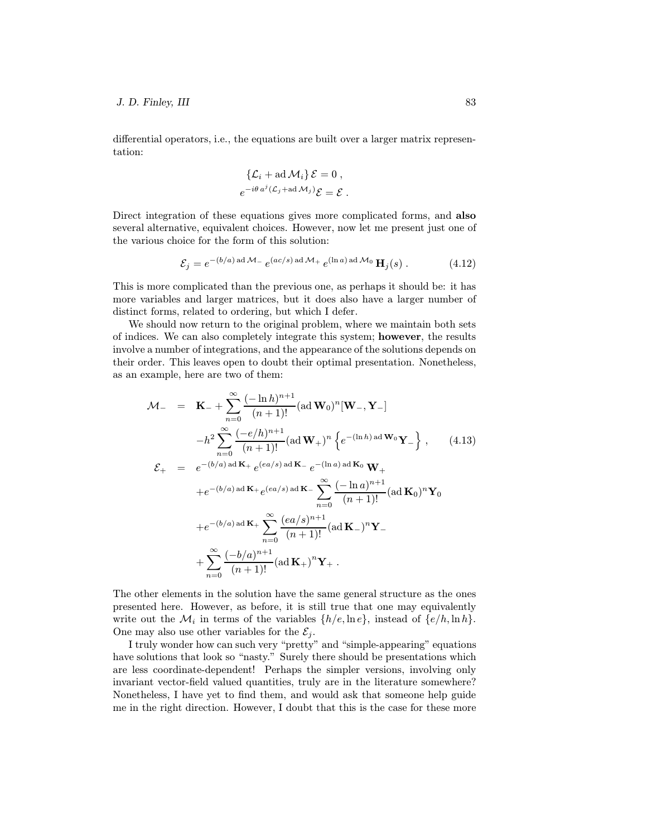differential operators, i.e., the equations are built over a larger matrix representation:

$$
\{\mathcal{L}_i + \mathrm{ad}\,\mathcal{M}_i\}\,\mathcal{E} = 0\,,
$$
  

$$
e^{-i\theta\,a^j(\mathcal{L}_j + \mathrm{ad}\,\mathcal{M}_j)}\mathcal{E} = \mathcal{E}\,.
$$

Direct integration of these equations gives more complicated forms, and **also** several alternative, equivalent choices. However, now let me present just one of the various choice for the form of this solution:

$$
\mathcal{E}_j = e^{-(b/a) \operatorname{ad} \mathcal{M}_-} e^{(ac/s) \operatorname{ad} \mathcal{M}_+} e^{(\ln a) \operatorname{ad} \mathcal{M}_0} \mathbf{H}_j(s) . \tag{4.12}
$$

This is more complicated than the previous one, as perhaps it should be: it has more variables and larger matrices, but it does also have a larger number of distinct forms, related to ordering, but which I defer.

We should now return to the original problem, where we maintain both sets of indices. We can also completely integrate this system; however, the results involve a number of integrations, and the appearance of the solutions depends on their order. This leaves open to doubt their optimal presentation. Nonetheless, as an example, here are two of them:

$$
\mathcal{M}_{-} = \mathbf{K}_{-} + \sum_{n=0}^{\infty} \frac{(-\ln h)^{n+1}}{(n+1)!} (\text{ad } \mathbf{W}_{0})^{n} [\mathbf{W}_{-}, \mathbf{Y}_{-}]
$$
  
\n
$$
-h^{2} \sum_{n=0}^{\infty} \frac{(-e/h)^{n+1}}{(n+1)!} (\text{ad } \mathbf{W}_{+})^{n} \{e^{-(\ln h) \text{ ad } \mathbf{W}_{0}} \mathbf{Y}_{-}\}, \qquad (4.13)
$$
  
\n
$$
\mathcal{E}_{+} = e^{-(b/a) \text{ ad } \mathbf{K}_{+}} e^{(ea/s) \text{ ad } \mathbf{K}_{-}} e^{-(\ln a) \text{ ad } \mathbf{K}_{0}} \mathbf{W}_{+}
$$
  
\n
$$
+e^{-(b/a) \text{ ad } \mathbf{K}_{+}} e^{(ea/s) \text{ ad } \mathbf{K}_{-}} \sum_{n=0}^{\infty} \frac{(-\ln a)^{n+1}}{(n+1)!} (\text{ad } \mathbf{K}_{0})^{n} \mathbf{Y}_{0}
$$
  
\n
$$
+e^{-(b/a) \text{ ad } \mathbf{K}_{+}} \sum_{n=0}^{\infty} \frac{(ea/s)^{n+1}}{(n+1)!} (\text{ad } \mathbf{K}_{-})^{n} \mathbf{Y}_{-}
$$
  
\n
$$
+ \sum_{n=0}^{\infty} \frac{(-b/a)^{n+1}}{(n+1)!} (\text{ad } \mathbf{K}_{+})^{n} \mathbf{Y}_{+}.
$$

The other elements in the solution have the same general structure as the ones presented here. However, as before, it is still true that one may equivalently write out the  $\mathcal{M}_i$  in terms of the variables  $\{h/e, \ln e\}$ , instead of  $\{e/h, \ln h\}$ . One may also use other variables for the  $\mathcal{E}_i$ .

I truly wonder how can such very "pretty" and "simple-appearing" equations have solutions that look so "nasty." Surely there should be presentations which are less coordinate-dependent! Perhaps the simpler versions, involving only invariant vector-field valued quantities, truly are in the literature somewhere? Nonetheless, I have yet to find them, and would ask that someone help guide me in the right direction. However, I doubt that this is the case for these more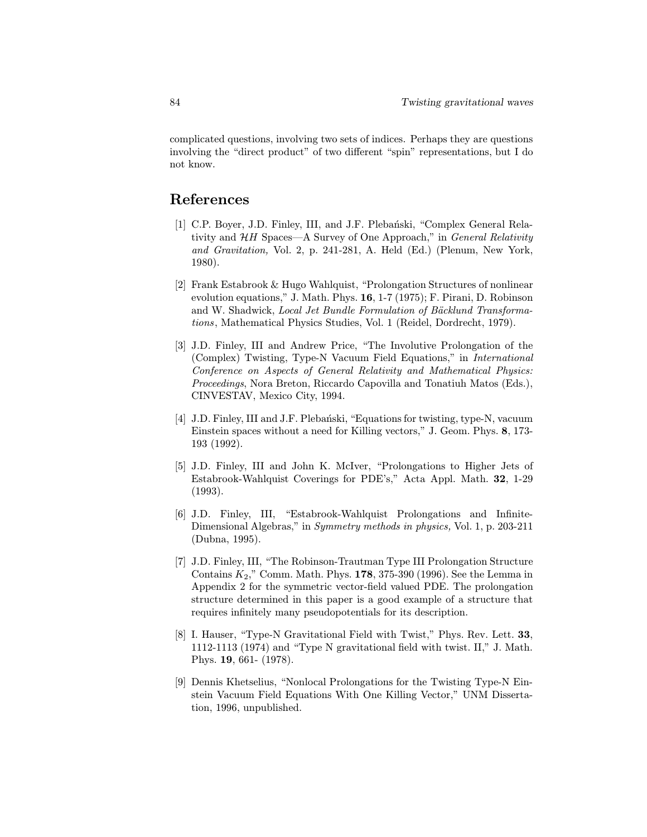complicated questions, involving two sets of indices. Perhaps they are questions involving the "direct product" of two different "spin" representations, but I do not know.

## References

- [1] C.P. Boyer, J.D. Finley, III, and J.F. Plebański, "Complex General Relativity and  $HH$  Spaces—A Survey of One Approach," in General Relativity and Gravitation, Vol. 2, p. 241-281, A. Held (Ed.) (Plenum, New York, 1980).
- [2] Frank Estabrook & Hugo Wahlquist, "Prolongation Structures of nonlinear evolution equations," J. Math. Phys. 16, 1-7 (1975); F. Pirani, D. Robinson and W. Shadwick, Local Jet Bundle Formulation of Bäcklund Transformations, Mathematical Physics Studies, Vol. 1 (Reidel, Dordrecht, 1979).
- [3] J.D. Finley, III and Andrew Price, "The Involutive Prolongation of the (Complex) Twisting, Type-N Vacuum Field Equations," in International Conference on Aspects of General Relativity and Mathematical Physics: Proceedings, Nora Breton, Riccardo Capovilla and Tonatiuh Matos (Eds.), CINVESTAV, Mexico City, 1994.
- [4] J.D. Finley, III and J.F. Plebanski, "Equations for twisting, type-N, vacuum Einstein spaces without a need for Killing vectors," J. Geom. Phys. 8, 173- 193 (1992).
- [5] J.D. Finley, III and John K. McIver, "Prolongations to Higher Jets of Estabrook-Wahlquist Coverings for PDE's," Acta Appl. Math. 32, 1-29 (1993).
- [6] J.D. Finley, III, "Estabrook-Wahlquist Prolongations and Infinite-Dimensional Algebras," in Symmetry methods in physics, Vol. 1, p. 203-211 (Dubna, 1995).
- [7] J.D. Finley, III, "The Robinson-Trautman Type III Prolongation Structure Contains  $K_2$ ," Comm. Math. Phys. 178, 375-390 (1996). See the Lemma in Appendix 2 for the symmetric vector-field valued PDE. The prolongation structure determined in this paper is a good example of a structure that requires infinitely many pseudopotentials for its description.
- [8] I. Hauser, "Type-N Gravitational Field with Twist," Phys. Rev. Lett. 33, 1112-1113 (1974) and "Type N gravitational field with twist. II," J. Math. Phys. 19, 661- (1978).
- [9] Dennis Khetselius, "Nonlocal Prolongations for the Twisting Type-N Einstein Vacuum Field Equations With One Killing Vector," UNM Dissertation, 1996, unpublished.